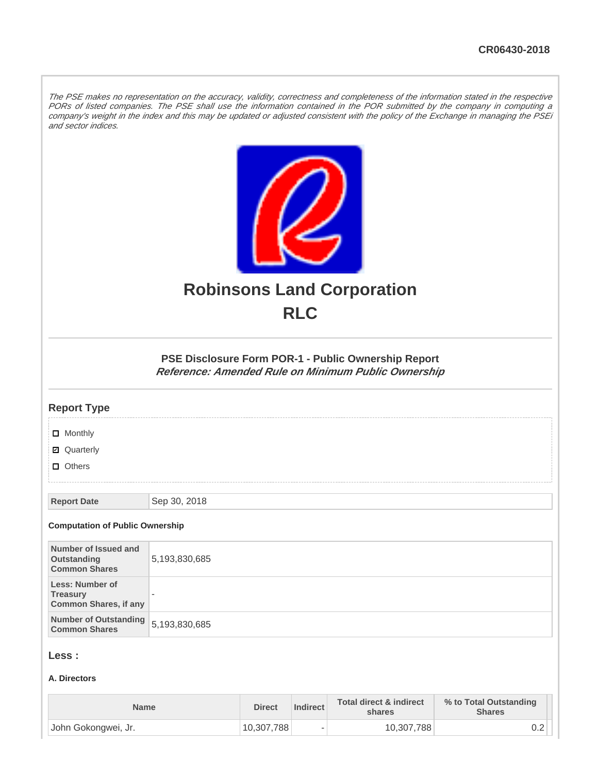The PSE makes no representation on the accuracy, validity, correctness and completeness of the information stated in the respective PORs of listed companies. The PSE shall use the information contained in the POR submitted by the company in computing a company's weight in the index and this may be updated or adjusted consistent with the policy of the Exchange in managing the PSEi and sector indices.



# **Robinsons Land Corporation RLC**

**PSE Disclosure Form POR-1 - Public Ownership Report Reference: Amended Rule on Minimum Public Ownership**

#### **Report Type**

**D** Monthly

■ Quarterly

**D** Others

**Report Date** Sep 30, 2018

#### **Computation of Public Ownership**

| Number of Issued and<br>Outstanding<br><b>Common Shares</b>        | 5,193,830,685            |
|--------------------------------------------------------------------|--------------------------|
| Less: Number of<br><b>Treasury</b><br><b>Common Shares, if any</b> | $\overline{\phantom{a}}$ |
| Number of Outstanding<br><b>Common Shares</b>                      | 5,193,830,685            |

#### **Less :**

#### **A. Directors**

| <b>Name</b>         | <b>Direct</b> | <b>Indirect</b>          | <b>Total direct &amp; indirect</b><br>shares | % to Total Outstanding<br><b>Shares</b> |
|---------------------|---------------|--------------------------|----------------------------------------------|-----------------------------------------|
| John Gokongwei, Jr. | 10,307,788    | $\overline{\phantom{a}}$ | 10,307,788                                   | ∪.∠                                     |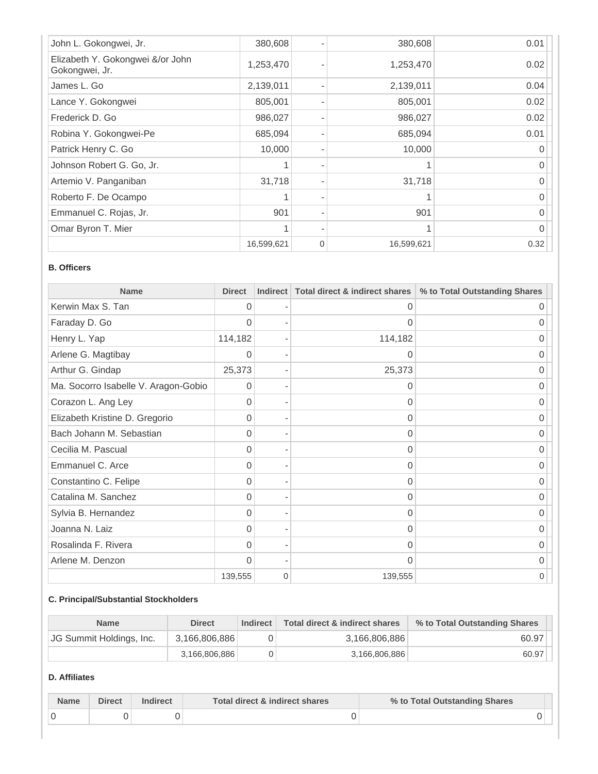| John L. Gokongwei, Jr.                             | 380,608    |   | 380,608    | 0.01         |
|----------------------------------------------------|------------|---|------------|--------------|
| Elizabeth Y. Gokongwei &/or John<br>Gokongwei, Jr. | 1,253,470  |   | 1,253,470  | 0.02         |
| James L. Go                                        | 2,139,011  |   | 2,139,011  | 0.04         |
| Lance Y. Gokongwei                                 | 805,001    |   | 805,001    | 0.02         |
| Frederick D. Go                                    | 986,027    |   | 986,027    | 0.02         |
| Robina Y. Gokongwei-Pe                             | 685,094    |   | 685,094    | 0.01         |
| Patrick Henry C. Go                                | 10,000     |   | 10,000     | 0            |
| Johnson Robert G. Go, Jr.                          |            |   |            | 0            |
| Artemio V. Panganiban                              | 31,718     |   | 31,718     | O            |
| Roberto F. De Ocampo                               |            |   | 1          | O            |
| Emmanuel C. Rojas, Jr.                             | 901        |   | 901        | <sup>0</sup> |
| Omar Byron T. Mier                                 |            |   |            | 0            |
|                                                    | 16,599,621 | 0 | 16,599,621 | 0.32         |

#### **B. Officers**

| <b>Name</b>                          | <b>Direct</b> | <b>Indirect</b> | Total direct & indirect shares | % to Total Outstanding Shares |
|--------------------------------------|---------------|-----------------|--------------------------------|-------------------------------|
| Kerwin Max S. Tan                    | $\Omega$      |                 | 0                              | 0                             |
| Faraday D. Go                        | 0             |                 | 0                              | 0                             |
| Henry L. Yap                         | 114,182       |                 | 114,182                        | 0                             |
| Arlene G. Magtibay                   | 0             |                 | 0                              | 0                             |
| Arthur G. Gindap                     | 25,373        |                 | 25,373                         | 0                             |
| Ma. Socorro Isabelle V. Aragon-Gobio | 0             |                 | 0                              | Ω                             |
| Corazon L. Ang Ley                   | 0             |                 | 0                              | 0                             |
| Elizabeth Kristine D. Gregorio       | 0             |                 | 0                              | O                             |
| Bach Johann M. Sebastian             | 0             |                 | $\Omega$                       | 0                             |
| Cecilia M. Pascual                   | 0             |                 | 0                              | ი                             |
| Emmanuel C. Arce                     | $\Omega$      |                 | 0                              | O                             |
| Constantino C. Felipe                | 0             |                 | O                              | ი                             |
| Catalina M. Sanchez                  | 0             |                 | 0                              | 0                             |
| Sylvia B. Hernandez                  | 0             |                 | 0                              | 0                             |
| Joanna N. Laiz                       | 0             |                 | 0                              | 0                             |
| Rosalinda F. Rivera                  | 0             |                 | 0                              | 0                             |
| Arlene M. Denzon                     | $\Omega$      |                 | $\Omega$                       | 0                             |
|                                      | 139,555       | $\mathbf 0$     | 139,555                        | 0                             |

#### **C. Principal/Substantial Stockholders**

| <b>Name</b>              | <b>Direct</b> | Indirect | Total direct & indirect shares | % to Total Outstanding Shares |
|--------------------------|---------------|----------|--------------------------------|-------------------------------|
| JG Summit Holdings, Inc. | 3,166,806,886 |          | 3,166,806,886                  | 60.97                         |
|                          | 3.166.806.886 |          | 3,166,806,886                  | 60.97                         |

### **D. Affiliates**

| <b>Name</b> | <b>Direct</b> | Indirect | Total direct & indirect shares | % to Total Outstanding Shares |  |
|-------------|---------------|----------|--------------------------------|-------------------------------|--|
|             |               |          |                                |                               |  |